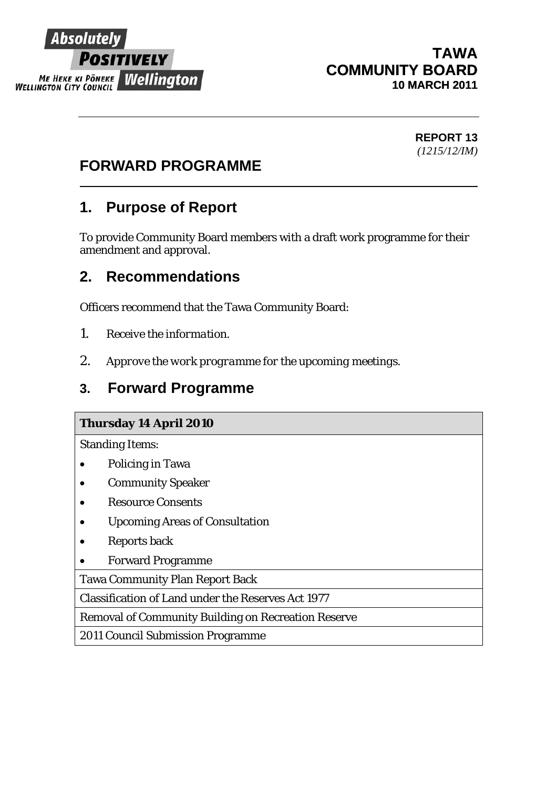

### **TAWA COMMUNITY BOARD 10 MARCH 2011**

#### **REPORT 13**  *(1215/12/IM)*

# **FORWARD PROGRAMME**

## **1. Purpose of Report**

To provide Community Board members with a draft work programme for their amendment and approval.

### **2. Recommendations**

Officers recommend that the Tawa Community Board:

- *1. Receive the information.*
- *2. Approve the work programme for the upcoming meetings.*

### **3. Forward Programme**

#### **Thursday 14 April 2010**

Standing Items:

- Policing in Tawa
- Community Speaker
- Resource Consents
- Upcoming Areas of Consultation
- Reports back
- Forward Programme

Tawa Community Plan Report Back

Classification of Land under the Reserves Act 1977

Removal of Community Building on Recreation Reserve

2011 Council Submission Programme